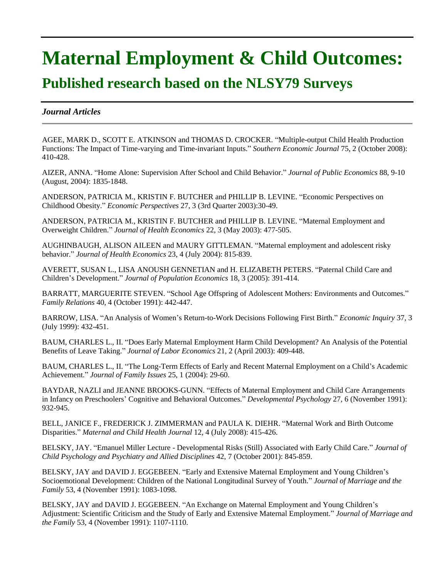## **Maternal Employment & Child Outcomes:**

## **Published research based on the NLSY79 Surveys**

## *Journal Articles*

AGEE, MARK D., SCOTT E. ATKINSON and THOMAS D. CROCKER. "Multiple-output Child Health Production Functions: The Impact of Time-varying and Time-invariant Inputs." *Southern Economic Journal* 75, 2 (October 2008): 410-428.

AIZER, ANNA. "Home Alone: Supervision After School and Child Behavior." *Journal of Public Economics* 88, 9-10 (August, 2004): 1835-1848.

ANDERSON, PATRICIA M., KRISTIN F. BUTCHER and PHILLIP B. LEVINE. "Economic Perspectives on Childhood Obesity." *Economic Perspectives* 27, 3 (3rd Quarter 2003):30-49.

ANDERSON, PATRICIA M., KRISTIN F. BUTCHER and PHILLIP B. LEVINE. "Maternal Employment and Overweight Children." *Journal of Health Economics* 22, 3 (May 2003): 477-505.

AUGHINBAUGH, ALISON AILEEN and MAURY GITTLEMAN. "Maternal employment and adolescent risky behavior." *Journal of Health Economics* 23, 4 (July 2004): 815-839.

AVERETT, SUSAN L., LISA ANOUSH GENNETIAN and H. ELIZABETH PETERS. "Paternal Child Care and Children's Development." *Journal of Population Economics* 18, 3 (2005): 391-414.

BARRATT, MARGUERITE STEVEN. "School Age Offspring of Adolescent Mothers: Environments and Outcomes." *Family Relations* 40, 4 (October 1991): 442-447.

BARROW, LISA. "An Analysis of Women's Return-to-Work Decisions Following First Birth." *Economic Inquiry* 37, 3 (July 1999): 432-451.

BAUM, CHARLES L., II. "Does Early Maternal Employment Harm Child Development? An Analysis of the Potential Benefits of Leave Taking." *Journal of Labor Economics* 21, 2 (April 2003): 409-448.

BAUM, CHARLES L., II. "The Long-Term Effects of Early and Recent Maternal Employment on a Child's Academic Achievement." *Journal of Family Issues* 25, 1 (2004): 29-60.

BAYDAR, NAZLI and JEANNE BROOKS-GUNN. "Effects of Maternal Employment and Child Care Arrangements in Infancy on Preschoolers' Cognitive and Behavioral Outcomes." *Developmental Psychology* 27, 6 (November 1991): 932-945.

BELL, JANICE F., FREDERICK J. ZIMMERMAN and PAULA K. DIEHR. "Maternal Work and Birth Outcome Disparities." *Maternal and Child Health Journal* 12, 4 (July 2008): 415-426.

BELSKY, JAY. "Emanuel Miller Lecture - Developmental Risks (Still) Associated with Early Child Care." *Journal of Child Psychology and Psychiatry and Allied Disciplines* 42, 7 (October 2001): 845-859.

BELSKY, JAY and DAVID J. EGGEBEEN. "Early and Extensive Maternal Employment and Young Children's Socioemotional Development: Children of the National Longitudinal Survey of Youth." *Journal of Marriage and the Family* 53, 4 (November 1991): 1083-1098.

BELSKY, JAY and DAVID J. EGGEBEEN. "An Exchange on Maternal Employment and Young Children's Adjustment: Scientific Criticism and the Study of Early and Extensive Maternal Employment." *Journal of Marriage and the Family* 53, 4 (November 1991): 1107-1110.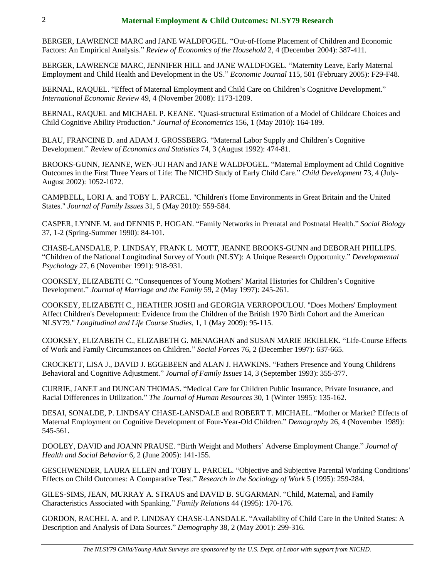BERGER, LAWRENCE MARC and JANE WALDFOGEL. "Out-of-Home Placement of Children and Economic Factors: An Empirical Analysis." *Review of Economics of the Household* 2, 4 (December 2004): 387-411.

BERGER, LAWRENCE MARC, JENNIFER HILL and JANE WALDFOGEL. "Maternity Leave, Early Maternal Employment and Child Health and Development in the US." *Economic Journal* 115, 501 (February 2005): F29-F48.

BERNAL, RAQUEL. "Effect of Maternal Employment and Child Care on Children's Cognitive Development." *International Economic Review* 49, 4 (November 2008): 1173-1209.

BERNAL, RAQUEL and MICHAEL P. KEANE. "Quasi-structural Estimation of a Model of Childcare Choices and Child Cognitive Ability Production." *Journal of Econometrics* 156, 1 (May 2010): 164-189.

BLAU, FRANCINE D. and ADAM J. GROSSBERG. "Maternal Labor Supply and Children's Cognitive Development." *Review of Economics and Statistics* 74, 3 (August 1992): 474-81.

BROOKS-GUNN, JEANNE, WEN-JUI HAN and JANE WALDFOGEL. "Maternal Employment ad Child Cognitive Outcomes in the First Three Years of Life: The NICHD Study of Early Child Care." *Child Development* 73, 4 (July-August 2002): 1052-1072.

CAMPBELL, LORI A. and TOBY L. PARCEL. "Children's Home Environments in Great Britain and the United States." *Journal of Family Issues* 31, 5 (May 2010): 559-584.

CASPER, LYNNE M. and DENNIS P. HOGAN. "Family Networks in Prenatal and Postnatal Health." *Social Biology* 37, 1-2 (Spring-Summer 1990): 84-101.

CHASE-LANSDALE, P. LINDSAY, FRANK L. MOTT, JEANNE BROOKS-GUNN and DEBORAH PHILLIPS. "Children of the National Longitudinal Survey of Youth (NLSY): A Unique Research Opportunity." *Developmental Psychology* 27, 6 (November 1991): 918-931.

COOKSEY, ELIZABETH C. "Consequences of Young Mothers' Marital Histories for Children's Cognitive Development." *Journal of Marriage and the Family* 59, 2 (May 1997): 245-261.

COOKSEY, ELIZABETH C., HEATHER JOSHI and GEORGIA VERROPOULOU. "Does Mothers' Employment Affect Children's Development: Evidence from the Children of the British 1970 Birth Cohort and the American NLSY79." *Longitudinal and Life Course Studies,* 1, 1 (May 2009): 95-115.

COOKSEY, ELIZABETH C., ELIZABETH G. MENAGHAN and SUSAN MARIE JEKIELEK. "Life-Course Effects of Work and Family Circumstances on Children." *Social Forces* 76, 2 (December 1997): 637-665.

CROCKETT, LISA J., DAVID J. EGGEBEEN and ALAN J. HAWKINS. "Fathers Presence and Young Childrens Behavioral and Cognitive Adjustment." *Journal of Family Issues* 14, 3 (September 1993): 355-377.

CURRIE, JANET and DUNCAN THOMAS. "Medical Care for Children Public Insurance, Private Insurance, and Racial Differences in Utilization." *The Journal of Human Resources* 30, 1 (Winter 1995): 135-162.

DESAI, SONALDE, P. LINDSAY CHASE-LANSDALE and ROBERT T. MICHAEL. "Mother or Market? Effects of Maternal Employment on Cognitive Development of Four-Year-Old Children." *Demography* 26, 4 (November 1989): 545-561.

DOOLEY, DAVID and JOANN PRAUSE. "Birth Weight and Mothers' Adverse Employment Change." *Journal of Health and Social Behavior* 6, 2 (June 2005): 141-155.

GESCHWENDER, LAURA ELLEN and TOBY L. PARCEL. "Objective and Subjective Parental Working Conditions' Effects on Child Outcomes: A Comparative Test." *Research in the Sociology of Work* 5 (1995): 259-284.

GILES-SIMS, JEAN, MURRAY A. STRAUS and DAVID B. SUGARMAN. "Child, Maternal, and Family Characteristics Associated with Spanking." *Family Relations* 44 (1995): 170-176.

GORDON, RACHEL A. and P. LINDSAY CHASE-LANSDALE. "Availability of Child Care in the United States: A Description and Analysis of Data Sources." *Demography* 38, 2 (May 2001): 299-316.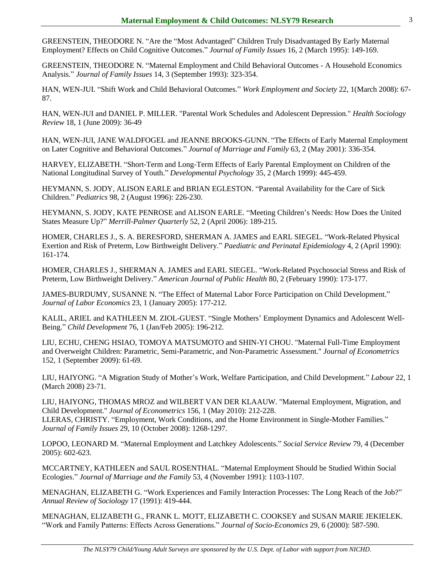GREENSTEIN, THEODORE N. "Are the "Most Advantaged" Children Truly Disadvantaged By Early Maternal Employment? Effects on Child Cognitive Outcomes." *Journal of Family Issues* 16, 2 (March 1995): 149-169.

GREENSTEIN, THEODORE N. "Maternal Employment and Child Behavioral Outcomes - A Household Economics Analysis." *Journal of Family Issues* 14, 3 (September 1993): 323-354.

HAN, WEN-JUI. "Shift Work and Child Behavioral Outcomes." *Work Employment and Society* 22, 1(March 2008): 67- 87.

HAN, WEN-JUI and DANIEL P. MILLER. "Parental Work Schedules and Adolescent Depression." *Health Sociology Review* 18, 1 (June 2009): 36-49

HAN, WEN-JUI, JANE WALDFOGEL and JEANNE BROOKS-GUNN. "The Effects of Early Maternal Employment on Later Cognitive and Behavioral Outcomes." *Journal of Marriage and Family* 63, 2 (May 2001): 336-354.

HARVEY, ELIZABETH. "Short-Term and Long-Term Effects of Early Parental Employment on Children of the National Longitudinal Survey of Youth." *Developmental Psychology* 35, 2 (March 1999): 445-459.

HEYMANN, S. JODY, ALISON EARLE and BRIAN EGLESTON. "Parental Availability for the Care of Sick Children." *Pediatrics* 98, 2 (August 1996): 226-230.

HEYMANN, S. JODY, KATE PENROSE and ALISON EARLE. "Meeting Children's Needs: How Does the United States Measure Up?" *Merrill-Palmer Quarterly* 52, 2 (April 2006): 189-215.

HOMER, CHARLES J., S. A. BERESFORD, SHERMAN A. JAMES and EARL SIEGEL. "Work-Related Physical Exertion and Risk of Preterm, Low Birthweight Delivery." *Paediatric and Perinatal Epidemiology* 4, 2 (April 1990): 161-174.

HOMER, CHARLES J., SHERMAN A. JAMES and EARL SIEGEL. "Work-Related Psychosocial Stress and Risk of Preterm, Low Birthweight Delivery." *American Journal of Public Health* 80, 2 (February 1990): 173-177.

JAMES-BURDUMY, SUSANNE N. "The Effect of Maternal Labor Force Participation on Child Development." *Journal of Labor Economics* 23, 1 (January 2005): 177-212.

KALIL, ARIEL and KATHLEEN M. ZIOL-GUEST. "Single Mothers' Employment Dynamics and Adolescent Well-Being." *Child Development* 76, 1 (Jan/Feb 2005): 196-212.

LIU, ECHU, CHENG HSIAO, TOMOYA MATSUMOTO and SHIN-YI CHOU. "Maternal Full-Time Employment and Overweight Children: Parametric, Semi-Parametric, and Non-Parametric Assessment." *Journal of Econometrics* 152, 1 (September 2009): 61-69.

LIU, HAIYONG. "A Migration Study of Mother's Work, Welfare Participation, and Child Development." *Labour* 22, 1 (March 2008) 23-71.

LIU, HAIYONG, THOMAS MROZ and WILBERT VAN DER KLAAUW. "Maternal Employment, Migration, and Child Development." *Journal of Econometrics* 156, 1 (May 2010): 212-228. LLERAS, CHRISTY. "Employment, Work Conditions, and the Home Environment in Single-Mother Families." *Journal of Family Issues* 29, 10 (October 2008): 1268-1297.

LOPOO, LEONARD M. "Maternal Employment and Latchkey Adolescents." *Social Service Review* 79, 4 (December 2005): 602-623.

MCCARTNEY, KATHLEEN and SAUL ROSENTHAL. "Maternal Employment Should be Studied Within Social Ecologies." *Journal of Marriage and the Family* 53, 4 (November 1991): 1103-1107.

MENAGHAN, ELIZABETH G. "Work Experiences and Family Interaction Processes: The Long Reach of the Job?" *Annual Review of Sociology* 17 (1991): 419-444.

MENAGHAN, ELIZABETH G., FRANK L. MOTT, ELIZABETH C. COOKSEY and SUSAN MARIE JEKIELEK. "Work and Family Patterns: Effects Across Generations." *Journal of Socio-Economics* 29, 6 (2000): 587-590.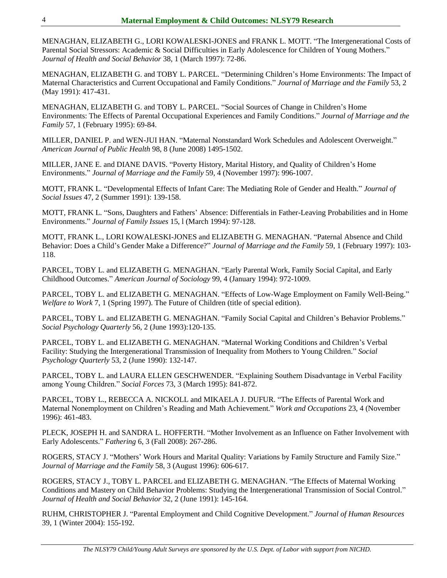MENAGHAN, ELIZABETH G., LORI KOWALESKI-JONES and FRANK L. MOTT. "The Intergenerational Costs of Parental Social Stressors: Academic & Social Difficulties in Early Adolescence for Children of Young Mothers." *Journal of Health and Social Behavior* 38, 1 (March 1997): 72-86.

MENAGHAN, ELIZABETH G. and TOBY L. PARCEL. "Determining Children's Home Environments: The Impact of Maternal Characteristics and Current Occupational and Family Conditions." *Journal of Marriage and the Family* 53, 2 (May 1991): 417-431.

MENAGHAN, ELIZABETH G. and TOBY L. PARCEL. "Social Sources of Change in Children's Home Environments: The Effects of Parental Occupational Experiences and Family Conditions." *Journal of Marriage and the Family* 57, 1 (February 1995): 69-84.

MILLER, DANIEL P. and WEN-JUI HAN. "Maternal Nonstandard Work Schedules and Adolescent Overweight." *American Journal of Public Health* 98, 8 (June 2008) 1495-1502.

MILLER, JANE E. and DIANE DAVIS. "Poverty History, Marital History, and Quality of Children's Home Environments." *Journal of Marriage and the Family* 59, 4 (November 1997): 996-1007.

MOTT, FRANK L. "Developmental Effects of Infant Care: The Mediating Role of Gender and Health." *Journal of Social Issues* 47, 2 (Summer 1991): 139-158.

MOTT, FRANK L. "Sons, Daughters and Fathers' Absence: Differentials in Father-Leaving Probabilities and in Home Environments." *Journal of Family Issues* 15, l (March 1994): 97-128.

MOTT, FRANK L., LORI KOWALESKI-JONES and ELIZABETH G. MENAGHAN. "Paternal Absence and Child Behavior: Does a Child's Gender Make a Difference?" *Journal of Marriage and the Family* 59, 1 (February 1997): 103- 118.

PARCEL, TOBY L. and ELIZABETH G. MENAGHAN. "Early Parental Work, Family Social Capital, and Early Childhood Outcomes." *American Journal of Sociology* 99, 4 (January 1994): 972-1009.

PARCEL, TOBY L. and ELIZABETH G. MENAGHAN. "Effects of Low-Wage Employment on Family Well-Being." *Welfare to Work* 7, 1 (Spring 1997). The Future of Children (title of special edition).

PARCEL, TOBY L. and ELIZABETH G. MENAGHAN. "Family Social Capital and Children's Behavior Problems." *Social Psychology Quarterly* 56, 2 (June 1993):120-135.

PARCEL, TOBY L. and ELIZABETH G. MENAGHAN. "Maternal Working Conditions and Children's Verbal Facility: Studying the Intergenerational Transmission of Inequality from Mothers to Young Children." *Social Psychology Quarterly* 53, 2 (June 1990): 132-147.

PARCEL, TOBY L. and LAURA ELLEN GESCHWENDER. "Explaining Southern Disadvantage in Verbal Facility among Young Children." *Social Forces* 73, 3 (March 1995): 841-872.

PARCEL, TOBY L., REBECCA A. NICKOLL and MIKAELA J. DUFUR. "The Effects of Parental Work and Maternal Nonemployment on Children's Reading and Math Achievement." *Work and Occupations* 23, 4 (November 1996): 461-483.

PLECK, JOSEPH H. and SANDRA L. HOFFERTH. "Mother Involvement as an Influence on Father Involvement with Early Adolescents." *Fathering* 6, 3 (Fall 2008): 267-286.

ROGERS, STACY J. "Mothers' Work Hours and Marital Quality: Variations by Family Structure and Family Size." *Journal of Marriage and the Family* 58, 3 (August 1996): 606-617.

ROGERS, STACY J., TOBY L. PARCEL and ELIZABETH G. MENAGHAN. "The Effects of Maternal Working Conditions and Mastery on Child Behavior Problems: Studying the Intergenerational Transmission of Social Control." *Journal of Health and Social Behavior* 32, 2 (June 1991): 145-164.

RUHM, CHRISTOPHER J. "Parental Employment and Child Cognitive Development." *Journal of Human Resources* 39, 1 (Winter 2004): 155-192.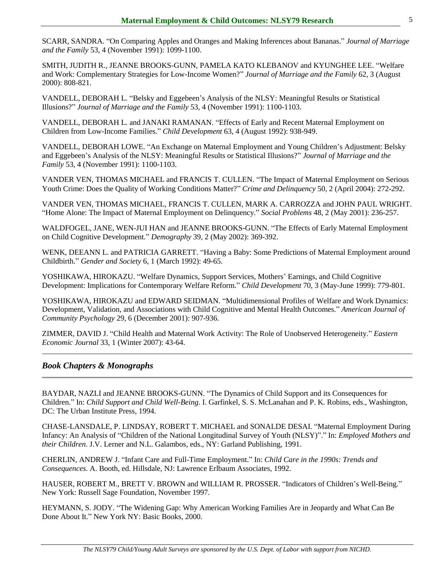SCARR, SANDRA. "On Comparing Apples and Oranges and Making Inferences about Bananas." *Journal of Marriage and the Family* 53, 4 (November 1991): 1099-1100.

SMITH, JUDITH R., JEANNE BROOKS-GUNN, PAMELA KATO KLEBANOV and KYUNGHEE LEE. "Welfare and Work: Complementary Strategies for Low-Income Women?" *Journal of Marriage and the Family* 62, 3 (August 2000): 808-821.

VANDELL, DEBORAH L. "Belsky and Eggebeen's Analysis of the NLSY: Meaningful Results or Statistical Illusions?" *Journal of Marriage and the Family* 53, 4 (November 1991): 1100-1103.

VANDELL, DEBORAH L. and JANAKI RAMANAN. "Effects of Early and Recent Maternal Employment on Children from Low-Income Families." *Child Development* 63, 4 (August 1992): 938-949.

VANDELL, DEBORAH LOWE. "An Exchange on Maternal Employment and Young Children's Adjustment: Belsky and Eggebeen's Analysis of the NLSY: Meaningful Results or Statistical Illusions?" *Journal of Marriage and the Family* 53, 4 (November 1991): 1100-1103.

VANDER VEN, THOMAS MICHAEL and FRANCIS T. CULLEN. "The Impact of Maternal Employment on Serious Youth Crime: Does the Quality of Working Conditions Matter?" *Crime and Delinquency* 50, 2 (April 2004): 272-292.

VANDER VEN, THOMAS MICHAEL, FRANCIS T. CULLEN, MARK A. CARROZZA and JOHN PAUL WRIGHT. "Home Alone: The Impact of Maternal Employment on Delinquency." *Social Problems* 48, 2 (May 2001): 236-257.

WALDFOGEL, JANE, WEN-JUI HAN and JEANNE BROOKS-GUNN. "The Effects of Early Maternal Employment on Child Cognitive Development." *Demography* 39, 2 (May 2002): 369-392.

WENK, DEEANN L. and PATRICIA GARRETT. "Having a Baby: Some Predictions of Maternal Employment around Childbirth." *Gender and Society* 6, 1 (March 1992): 49-65.

YOSHIKAWA, HIROKAZU. "Welfare Dynamics, Support Services, Mothers' Earnings, and Child Cognitive Development: Implications for Contemporary Welfare Reform." *Child Development* 70, 3 (May-June 1999): 779-801.

YOSHIKAWA, HIROKAZU and EDWARD SEIDMAN. "Multidimensional Profiles of Welfare and Work Dynamics: Development, Validation, and Associations with Child Cognitive and Mental Health Outcomes." *American Journal of Community Psychology* 29, 6 (December 2001): 907-936.

ZIMMER, DAVID J. "Child Health and Maternal Work Activity: The Role of Unobserved Heterogeneity." *Eastern Economic Journal* 33, 1 (Winter 2007): 43-64.

## *Book Chapters & Monographs*

BAYDAR, NAZLI and JEANNE BROOKS-GUNN. "The Dynamics of Child Support and its Consequences for Children." In: *Child Support and Child Well-Being*. I. Garfinkel, S. S. McLanahan and P. K. Robins, eds., Washington, DC: The Urban Institute Press, 1994.

CHASE-LANSDALE, P. LINDSAY, ROBERT T. MICHAEL and SONALDE DESAI. "Maternal Employment During Infancy: An Analysis of "Children of the National Longitudinal Survey of Youth (NLSY)"." In: *Employed Mothers and their Children*. J.V. Lerner and N.L. Galambos, eds., NY: Garland Publishing, 1991.

CHERLIN, ANDREW J. "Infant Care and Full-Time Employment." In: *Child Care in the 1990s: Trends and Consequences*. A. Booth, ed. Hillsdale, NJ: Lawrence Erlbaum Associates, 1992.

HAUSER, ROBERT M., BRETT V. BROWN and WILLIAM R. PROSSER. "Indicators of Children's Well-Being." New York: Russell Sage Foundation, November 1997.

HEYMANN, S. JODY. "The Widening Gap: Why American Working Families Are in Jeopardy and What Can Be Done About It." New York NY: Basic Books, 2000.